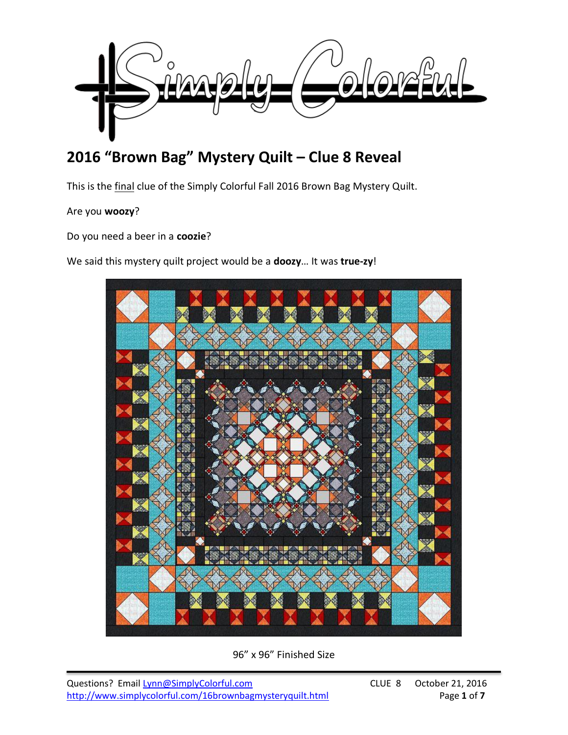

# **2016 "Brown Bag" Mystery Quilt – Clue 8 Reveal**

This is the final clue of the Simply Colorful Fall 2016 Brown Bag Mystery Quilt.

### Are you **woozy**?

Do you need a beer in a **coozie**?

We said this mystery quilt project would be a **doozy**… It was **true-zy**!



96" x 96" Finished Size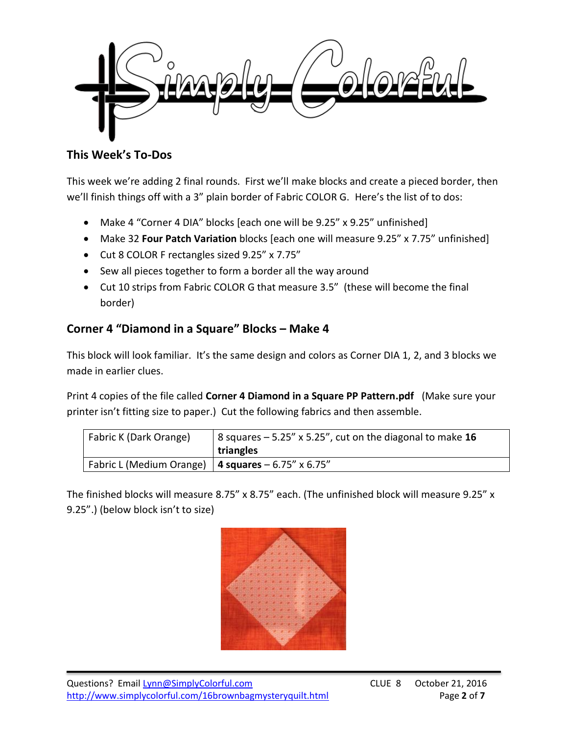

## **This Week's To-Dos**

This week we're adding 2 final rounds. First we'll make blocks and create a pieced border, then we'll finish things off with a 3" plain border of Fabric COLOR G. Here's the list of to dos:

- Make 4 "Corner 4 DIA" blocks [each one will be 9.25" x 9.25" unfinished]
- Make 32 **Four Patch Variation** blocks [each one will measure 9.25" x 7.75" unfinished]
- Cut 8 COLOR F rectangles sized 9.25" x 7.75"
- Sew all pieces together to form a border all the way around
- Cut 10 strips from Fabric COLOR G that measure 3.5" (these will become the final border)

## **Corner 4 "Diamond in a Square" Blocks – Make 4**

This block will look familiar. It's the same design and colors as Corner DIA 1, 2, and 3 blocks we made in earlier clues.

Print 4 copies of the file called **Corner 4 Diamond in a Square PP Pattern.pdf** (Make sure your printer isn't fitting size to paper.) Cut the following fabrics and then assemble.

| Fabric K (Dark Orange)                                 | 8 squares $-5.25''$ x 5.25", cut on the diagonal to make 16<br>triangles |  |
|--------------------------------------------------------|--------------------------------------------------------------------------|--|
| Fabric L (Medium Orange)   4 squares $-6.75''$ x 6.75" |                                                                          |  |

The finished blocks will measure 8.75" x 8.75" each. (The unfinished block will measure 9.25" x 9.25".) (below block isn't to size)

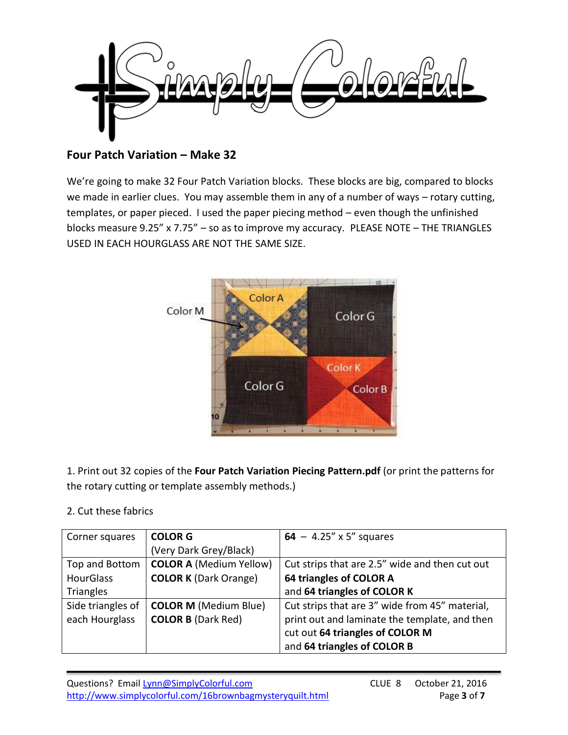

### **Four Patch Variation – Make 32**

We're going to make 32 Four Patch Variation blocks. These blocks are big, compared to blocks we made in earlier clues. You may assemble them in any of a number of ways – rotary cutting, templates, or paper pieced. I used the paper piecing method – even though the unfinished blocks measure 9.25" x 7.75" – so as to improve my accuracy. PLEASE NOTE – THE TRIANGLES USED IN EACH HOURGLASS ARE NOT THE SAME SIZE.



1. Print out 32 copies of the **Four Patch Variation Piecing Pattern.pdf** (or print the patterns for the rotary cutting or template assembly methods.)

#### 2. Cut these fabrics

| Corner squares    | <b>COLOR G</b>                 | 64 – 4.25" x 5" squares                        |
|-------------------|--------------------------------|------------------------------------------------|
|                   | (Very Dark Grey/Black)         |                                                |
| Top and Bottom    | <b>COLOR A (Medium Yellow)</b> | Cut strips that are 2.5" wide and then cut out |
| <b>HourGlass</b>  | <b>COLOR K (Dark Orange)</b>   | 64 triangles of COLOR A                        |
| <b>Triangles</b>  |                                | and 64 triangles of COLOR K                    |
| Side triangles of | <b>COLOR M (Medium Blue)</b>   | Cut strips that are 3" wide from 45" material, |
| each Hourglass    | <b>COLOR B (Dark Red)</b>      | print out and laminate the template, and then  |
|                   |                                | cut out 64 triangles of COLOR M                |
|                   |                                | and 64 triangles of COLOR B                    |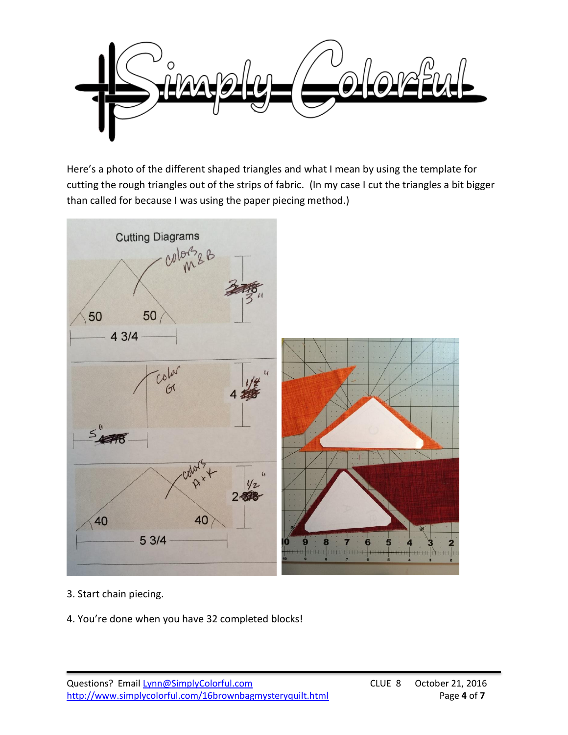

Here's a photo of the different shaped triangles and what I mean by using the template for cutting the rough triangles out of the strips of fabric. (In my case I cut the triangles a bit bigger than called for because I was using the paper piecing method.)



- 3. Start chain piecing.
- 4. You're done when you have 32 completed blocks!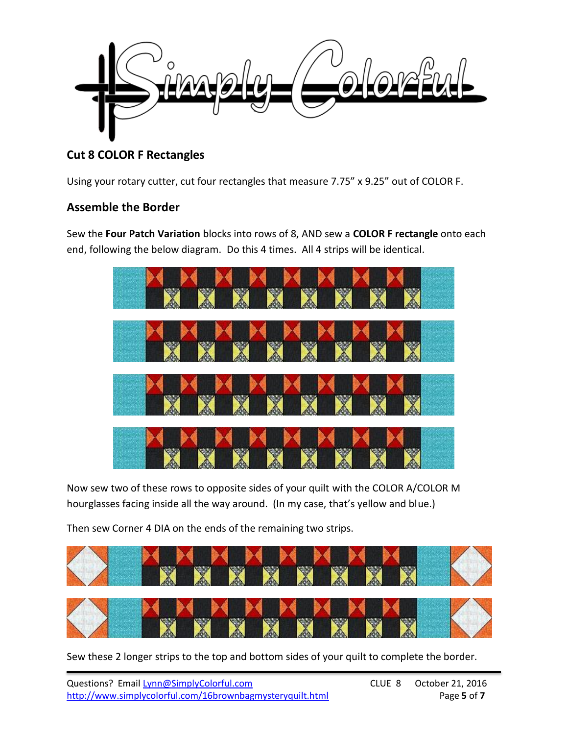

# **Cut 8 COLOR F Rectangles**

Using your rotary cutter, cut four rectangles that measure 7.75" x 9.25" out of COLOR F.

#### **Assemble the Border**

Sew the **Four Patch Variation** blocks into rows of 8, AND sew a **COLOR F rectangle** onto each end, following the below diagram. Do this 4 times. All 4 strips will be identical.



Now sew two of these rows to opposite sides of your quilt with the COLOR A/COLOR M hourglasses facing inside all the way around. (In my case, that's yellow and blue.)

Then sew Corner 4 DIA on the ends of the remaining two strips.



Sew these 2 longer strips to the top and bottom sides of your quilt to complete the border.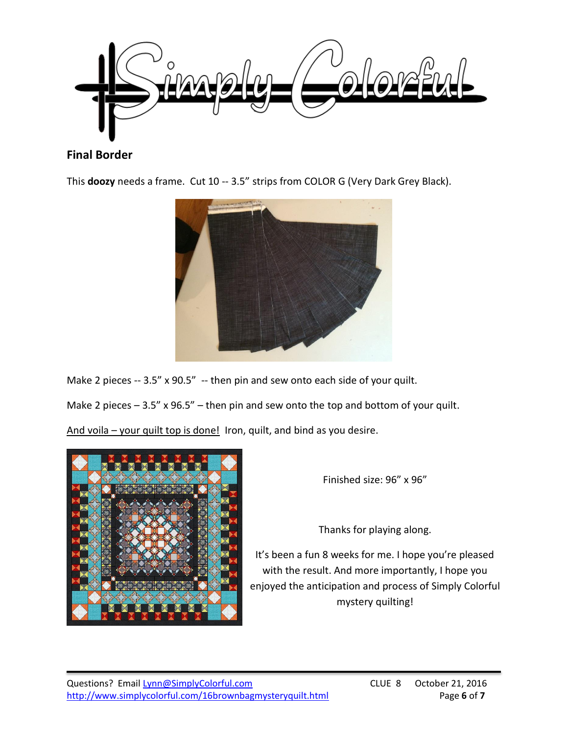

### **Final Border**

This **doozy** needs a frame. Cut 10 -- 3.5" strips from COLOR G (Very Dark Grey Black).



Make 2 pieces -- 3.5" x 90.5" -- then pin and sew onto each side of your quilt.

Make 2 pieces  $-3.5''$  x 96.5" – then pin and sew onto the top and bottom of your quilt.

And voila – your quilt top is done! Iron, quilt, and bind as you desire.



Finished size: 96" x 96"

Thanks for playing along.

It's been a fun 8 weeks for me. I hope you're pleased with the result. And more importantly, I hope you enjoyed the anticipation and process of Simply Colorful mystery quilting!